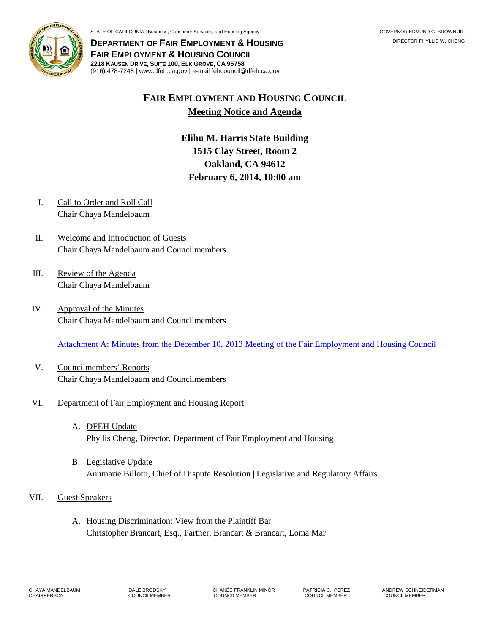

**DEPARTMENT OF FAIR EMPLOYMENT & HOUSING FAIR EMPLOYMENT & HOUSING COUNCIL 2218 KAUSEN DRIVE, SUITE 100, ELK GROVE, CA 95758** (916) 478-7248 | www.dfeh.ca.gov | e-mail fehcouncil@dfeh.ca.gov

# **FAIR EMPLOYMENT AND HOUSING COUNCIL Meeting Notice and Agenda**

**Elihu M. Harris State Building 1515 Clay Street, Room 2 Oakland, CA 94612 February 6, 2014, 10:00 am** 

- I. Call to Order and Roll Call Chair Chaya Mandelbaum
- II. Welcome and Introduction of Guests Chair Chaya Mandelbaum and Councilmembers
- III. Review of the Agenda Chair Chaya Mandelbaum
- IV. Approval of the Minutes Chair Chaya Mandelbaum and Councilmembers

[Attachment A: Minutes from the December 10, 2013 Meeting of the Fair Employment and Housing Council](/wp-content/uploads/sites/32/2017/06/ATTACHA-2014Feb6.pdf)

V. Councilmembers' Reports Chair Chaya Mandelbaum and Councilmembers

### VI. Department of Fair Employment and Housing Report

- A. DFEH Update Phyllis Cheng, Director, Department of Fair Employment and Housing
- B. Legislative Update Annmarie Billotti, Chief of Dispute Resolution | Legislative and Regulatory Affairs
- VII. Guest Speakers
	- A. Housing Discrimination: View from the Plaintiff Bar Christopher Brancart, Esq., Partner, Brancart & Brancart, Loma Mar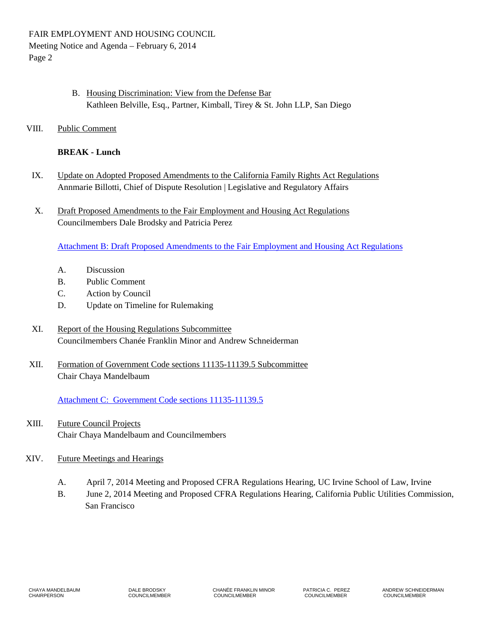- B. Housing Discrimination: View from the Defense Bar Kathleen Belville, Esq., Partner, Kimball, Tirey & St. John LLP, San Diego
- VIII. Public Comment

## **BREAK - Lunch**

- IX. Update on Adopted Proposed Amendments to the California Family Rights Act Regulations Annmarie Billotti, Chief of Dispute Resolution | Legislative and Regulatory Affairs
- X. Draft Proposed Amendments to the Fair Employment and Housing Act Regulations Councilmembers Dale Brodsky and Patricia Perez

[Attachment B: Draft Proposed Amendments to the Fair Employment and Housing Act Regulations](/wp-content/uploads/sites/32/2017/06/ATTACHB-2014Feb6.pdf)

- A. Discussion
- B. Public Comment
- C. Action by Council
- D. Update on Timeline for Rulemaking
- XI. Report of the Housing Regulations Subcommittee Councilmembers Chanée Franklin Minor and Andrew Schneiderman
- XII. Formation of Government Code sections 11135-11139.5 Subcommittee Chair Chaya Mandelbaum

[Attachment C: Government Code sections 11135-11139.5](/wp-content/uploads/sites/32/2017/06/ATTACHC-2014Feb6.pdf)

- XIII. Future Council Projects Chair Chaya Mandelbaum and Councilmembers
- XIV. Future Meetings and Hearings
	- A. April 7, 2014 Meeting and Proposed CFRA Regulations Hearing, UC Irvine School of Law, Irvine
	- B. June 2, 2014 Meeting and Proposed CFRA Regulations Hearing, California Public Utilities Commission, San Francisco